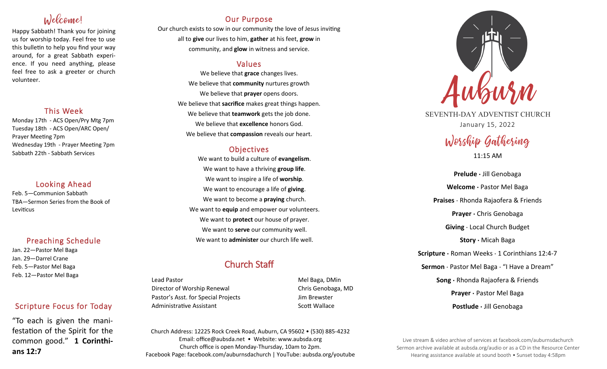# Welcome!

Happy Sabbath! Thank you for joining us for worship today. Feel free to use this bulletin to help you find your way around, for a great Sabbath experience. If you need anything, please feel free to ask a greeter or church volunteer.

# This Week

Monday 17th - ACS Open/Pry Mtg 7pm Tuesday 18th - ACS Open/ARC Open/ Prayer Meeting 7pm Wednesday 19th - Prayer Meeting 7pm Sabbath 22th - Sabbath Services

# Looking Ahead

Feb. 5—Communion Sabbath TBA—Sermon Series from the Book of Leviticus

# Preaching Schedule

Jan. 22—Pastor Mel Baga Jan. 29—Darrel Crane Feb. 5—Pastor Mel Baga Feb. 12—Pastor Mel Baga

# Scripture Focus for Today

"To each is given the manifestation of the Spirit for the common good." **1 Corinthians 12:7**

# Our Purpose

Our church exists to sow in our community the love of Jesus inviting all to **give** our lives to him, **gather** at his feet, **grow** in community, and **glow** in witness and service.

# Values

We believe that **grace** changes lives. We believe that **community** nurtures growth We believe that **prayer** opens doors. We believe that **sacrifice** makes great things happen. We believe that **teamwork** gets the job done. We believe that **excellence** honors God. We believe that **compassion** reveals our heart.

# **Objectives**

We want to build a culture of **evangelism**. We want to have a thriving **group life**. We want to inspire a life of **worship**. We want to encourage a life of **giving**. We want to become a **praying** church. We want to **equip** and empower our volunteers. We want to **protect** our house of prayer. We want to **serve** our community well. We want to **administer** our church life well.

# Church Staff

Lead Pastor Nell Baga, DMin Director of Worship Renewal Chris Genobaga, MD Pastor's Asst. for Special Projects Fig. 3.1 Jim Brewster Administrative Assistant National Scott Wallace

Church Address: 12225 Rock Creek Road, Auburn, CA 95602 • (530) 885-4232 Email: office@aubsda.net • Website: www.aubsda.org Church office is open Monday-Thursday, 10am to 2pm. Facebook Page: facebook.com/auburnsdachurch | YouTube: aubsda.org/youtube



SEVENTH-DAY ADVENTIST CHURCH January 15, 2022

# Worship Gathering

11:15 AM

**Prelude ·** Jill Genobaga **Welcome ·** Pastor Mel Baga **Praises** · Rhonda Rajaofera & Friends **Prayer ·** Chris Genobaga **Giving** · Local Church Budget **Story ·** Micah Baga **Scripture ·** Roman Weeks · 1 Corinthians 12:4-7 **Sermon** · Pastor Mel Baga · "I Have a Dream" **Song ·** Rhonda Rajaofera & Friends **Prayer ·** Pastor Mel Baga **Postlude ·** Jill Genobaga

Live stream & video archive of services at facebook.com/auburnsdachurch Sermon archive available at aubsda.org/audio or as a CD in the Resource Center Hearing assistance available at sound booth • Sunset today 4:58pm